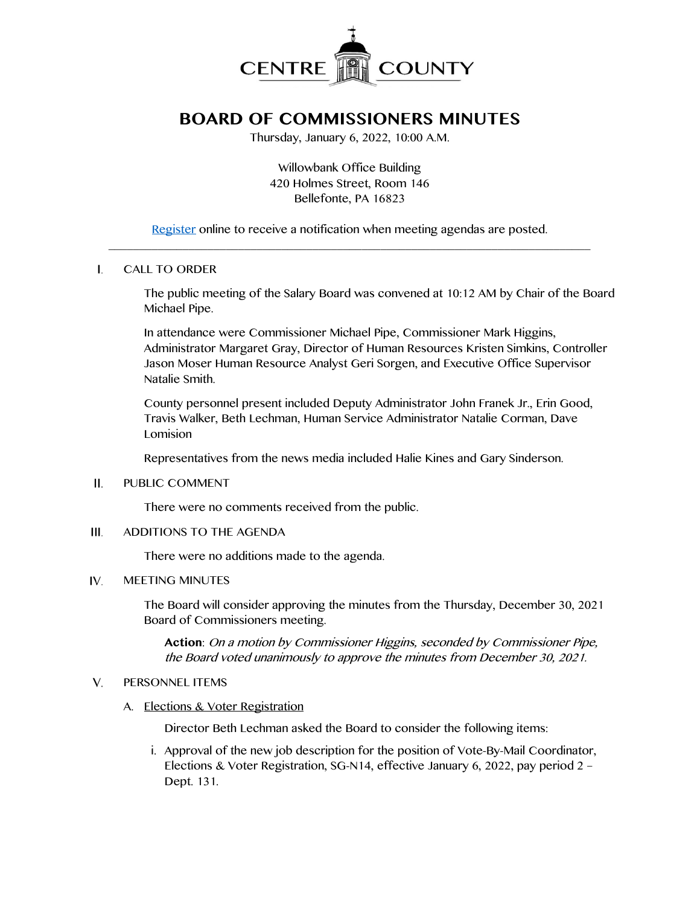

# **BOARD OF COMMISSIONERS MINUTES**

Thursday, January 6, 2022, 10:00 A.M.

Willowbank Office Building 420 Holmes Street, Room 146 Bellefonte, PA 16823

[Register](http://www.centrecountypa.gov/AgendaCenter) online to receive a notification when meeting agendas are posted.  $\mathcal{L} = \{ \mathcal{L} = \{ \mathcal{L} \mid \mathcal{L} = \{ \mathcal{L} \mid \mathcal{L} = \{ \mathcal{L} \mid \mathcal{L} = \{ \mathcal{L} \mid \mathcal{L} = \{ \mathcal{L} \mid \mathcal{L} = \{ \mathcal{L} \mid \mathcal{L} = \{ \mathcal{L} \mid \mathcal{L} = \{ \mathcal{L} \mid \mathcal{L} = \{ \mathcal{L} \mid \mathcal{L} = \{ \mathcal{L} \mid \mathcal{L} = \{ \mathcal{L} \mid \mathcal{L} = \{ \mathcal{L} \mid \mathcal{L} =$ 

### $\mathbf{L}$ CALL TO ORDER

The public meeting of the Salary Board was convened at 10:12 AM by Chair of the Board Michael Pipe.

In attendance were Commissioner Michael Pipe, Commissioner Mark Higgins, Administrator Margaret Gray, Director of Human Resources Kristen Simkins, Controller Jason Moser Human Resource Analyst Geri Sorgen, and Executive Office Supervisor Natalie Smith.

County personnel present included Deputy Administrator John Franek Jr., Erin Good, Travis Walker, Beth Lechman, Human Service Administrator Natalie Corman, Dave Lomision

Representatives from the news media included Halie Kines and Gary Sinderson.

#### II. PUBLIC COMMENT

There were no comments received from the public.

#### $III.$ ADDITIONS TO THE AGENDA

There were no additions made to the agenda.

#### IV. MEETING MINUTES

The Board will consider approving the minutes from the Thursday, December 30, 2021 Board of Commissioners meeting.

**Action**: On a motion by Commissioner Higgins, seconded by Commissioner Pipe, the Board voted unanimously to approve the minutes from December 30, 2021.

#### $V_{\cdot}$ PERSONNEL ITEMS

A. Elections & Voter Registration

Director Beth Lechman asked the Board to consider the following items:

i. Approval of the new job description for the position of Vote-By-Mail Coordinator, Elections & Voter Registration, SG-N14, effective January 6, 2022, pay period 2 – Dept. 131.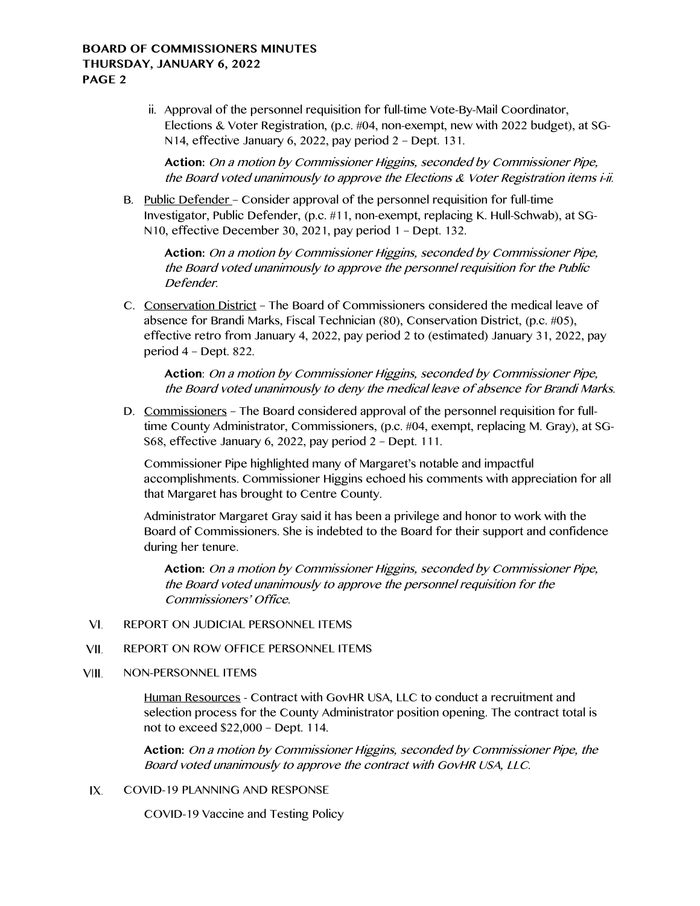## **BOARD OF COMMISSIONERS MINUTES THURSDAY, JANUARY 6, 2022 PAGE 2**

ii. Approval of the personnel requisition for full-time Vote-By-Mail Coordinator, Elections & Voter Registration, (p.c. #04, non-exempt, new with 2022 budget), at SG-N14, effective January 6, 2022, pay period 2 – Dept. 131.

**Action:** On a motion by Commissioner Higgins, seconded by Commissioner Pipe, the Board voted unanimously to approve the Elections & Voter Registration items i-ii.

B. Public Defender – Consider approval of the personnel requisition for full-time Investigator, Public Defender, (p.c. #11, non-exempt, replacing K. Hull-Schwab), at SG-N10, effective December 30, 2021, pay period 1 – Dept. 132.

**Action:** On a motion by Commissioner Higgins, seconded by Commissioner Pipe, the Board voted unanimously to approve the personnel requisition for the Public Defender.

C. Conservation District – The Board of Commissioners considered the medical leave of absence for Brandi Marks, Fiscal Technician (80), Conservation District, (p.c. #05), effective retro from January 4, 2022, pay period 2 to (estimated) January 31, 2022, pay period 4 – Dept. 822.

**Action**: On a motion by Commissioner Higgins, seconded by Commissioner Pipe, the Board voted unanimously to deny the medical leave of absence for Brandi Marks.

D. Commissioners – The Board considered approval of the personnel requisition for fulltime County Administrator, Commissioners, (p.c. #04, exempt, replacing M. Gray), at SG-S68, effective January 6, 2022, pay period 2 – Dept. 111.

Commissioner Pipe highlighted many of Margaret's notable and impactful accomplishments. Commissioner Higgins echoed his comments with appreciation for all that Margaret has brought to Centre County.

Administrator Margaret Gray said it has been a privilege and honor to work with the Board of Commissioners. She is indebted to the Board for their support and confidence during her tenure.

**Action:** On a motion by Commissioner Higgins, seconded by Commissioner Pipe, the Board voted unanimously to approve the personnel requisition for the Commissioners' Office.

- VI. REPORT ON JUDICIAL PERSONNEL ITEMS
- VII. REPORT ON ROW OFFICE PERSONNEL ITEMS
- VIII. NON-PERSONNEL ITEMS

Human Resources - Contract with GovHR USA, LLC to conduct a recruitment and selection process for the County Administrator position opening. The contract total is not to exceed \$22,000 – Dept. 114.

**Action:** On a motion by Commissioner Higgins, seconded by Commissioner Pipe, the Board voted unanimously to approve the contract with GovHR USA, LLC.

IX. COVID-19 PLANNING AND RESPONSE

COVID-19 Vaccine and Testing Policy